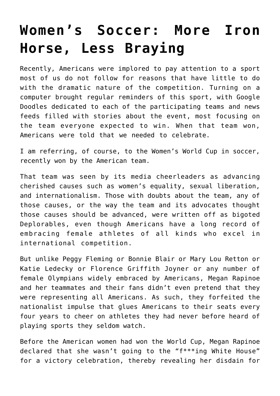## **[Women's Soccer: More Iron](https://intellectualtakeout.org/2019/07/womens-soccer-more-iron-horse-less-braying/) [Horse, Less Braying](https://intellectualtakeout.org/2019/07/womens-soccer-more-iron-horse-less-braying/)**

Recently, Americans were implored to pay attention to a sport most of us do not follow for reasons that have little to do with the dramatic nature of the competition. Turning on a computer brought regular reminders of this sport, with Google Doodles dedicated to each of the participating teams and news feeds filled with stories about the event, most focusing on the team everyone expected to win. When that team won, Americans were told that we needed to celebrate.

I am referring, of course, to the Women's World Cup in soccer, recently won by the American team.

That team was seen by its media cheerleaders as advancing cherished causes such as women's equality, sexual liberation, and internationalism. Those with doubts about the team, any of those causes, or the way the team and its advocates thought those causes should be advanced, were written off as bigoted Deplorables, even though Americans have a long record of embracing female athletes of all kinds who excel in international competition.

But unlike Peggy Fleming or Bonnie Blair or Mary Lou Retton or Katie Ledecky or Florence Griffith Joyner or any number of female Olympians widely embraced by Americans, Megan Rapinoe and her teammates and their fans didn't even pretend that they were representing all Americans. As such, they forfeited the nationalist impulse that glues Americans to their seats every four years to cheer on athletes they had never before heard of playing sports they seldom watch.

Before the American women had won the World Cup, Megan Rapinoe declared that she wasn't going to the "f\*\*\*ing White House" for a victory celebration, thereby revealing her disdain for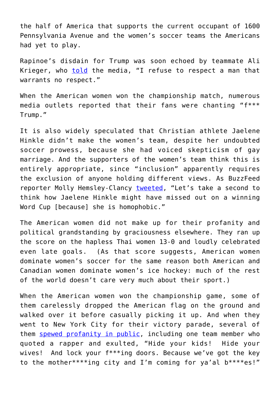the half of America that supports the current occupant of 1600 Pennsylvania Avenue and the women's soccer teams the Americans had yet to play.

Rapinoe's disdain for Trump was soon echoed by teammate Ali Krieger, who [told](https://www.msn.com/en-us/news/politics/team-usa-star-ali-krieger-rips-trump-i-refuse-to-respect-a-man-that-warrants-no-respect/ar-AADUhDl) the media, "I refuse to respect a man that warrants no respect."

When the American women won the championship match, numerous media outlets reported that their fans were chanting "f\*\*\* Trump."

It is also widely speculated that Christian athlete Jaelene Hinkle didn't make the women's team, despite her undoubted soccer prowess, because she had voiced skepticism of gay marriage. And the supporters of the women's team think this is entirely appropriate, since "inclusion" apparently requires the exclusion of anyone holding different views. As BuzzFeed reporter Molly Hemsley-Clancy [tweeted,](https://twitter.com/mollyhc/status/1148298555871752193) "Let's take a second to think how Jaelene Hinkle might have missed out on a winning Word Cup [because] she is homophobic."

The American women did not make up for their profanity and political grandstanding by graciousness elsewhere. They ran up the score on the hapless Thai women 13-0 and loudly celebrated even late goals. (As that score suggests, American women dominate women's soccer for the same reason both American and Canadian women dominate women's ice hockey: much of the rest of the world doesn't care very much about their sport.)

When the American women won the championship game, some of them carelessly dropped the American flag on the ground and walked over it before casually picking it up. And when they went to New York City for their victory parade, several of them [spewed profanity in public,](https://www.thegatewaypundit.com/2019/07/hide-your-kids-hide-your-wives-we-got-the-key-to-the-motherfing-city-trashy-us-womens-world-cup-soccer-champs-utter-profanities-all-during-nyc-parade/) including one team member who quoted a rapper and exulted, "Hide your kids! Hide your wives! And lock your f\*\*\*ing doors. Because we've got the key to the mother\*\*\*\*ing city and I'm coming for ya'al b\*\*\*\*es!"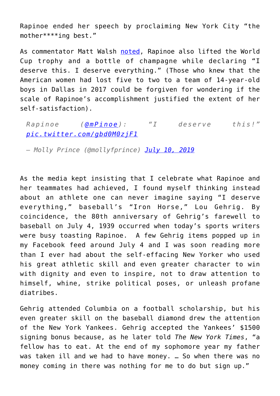Rapinoe ended her speech by proclaiming New York City "the mother\*\*\*\*ing best."

As commentator Matt Walsh [noted,](https://www.dailywire.com/news/49391/walsh-us-womens-soccer-team-very-hard-video-shows-matt-walsh) Rapinoe also lifted the World Cup trophy and a bottle of champagne while declaring "I deserve this. I deserve everything." (Those who knew that the American women had lost five to two to a team of 14-year-old boys in Dallas in 2017 could be forgiven for wondering if the scale of Rapinoe's accomplishment justified the extent of her self-satisfaction).

*Rapinoe ([@mPinoe\)](https://twitter.com/mPinoe?ref_src=twsrc%5Etfw): "I deserve this!" [pic.twitter.com/gbd0M0zjF1](https://t.co/gbd0M0zjF1)*

*— Molly Prince (@mollyfprince) [July 10, 2019](https://twitter.com/mollyfprince/status/1148987304943529986?ref_src=twsrc%5Etfw)*

As the media kept insisting that I celebrate what Rapinoe and her teammates had achieved, I found myself thinking instead about an athlete one can never imagine saying "I deserve everything," baseball's "Iron Horse," Lou Gehrig. By coincidence, the 80th anniversary of Gehrig's farewell to baseball on July 4, 1939 occurred when today's sports writers were busy toasting Rapinoe. A few Gehrig items popped up in my Facebook feed around July 4 and I was soon reading more than I ever had about the self-effacing New Yorker who used his great athletic skill and even greater character to win with dignity and even to inspire, not to draw attention to himself, whine, strike political poses, or unleash profane diatribes.

Gehrig attended Columbia on a football scholarship, but his even greater skill on the baseball diamond drew the attention of the New York Yankees. Gehrig accepted the Yankees' \$1500 signing bonus because, as he later told *The New York Times*, "a fellow has to eat. At the end of my sophomore year my father was taken ill and we had to have money. … So when there was no money coming in there was nothing for me to do but sign up."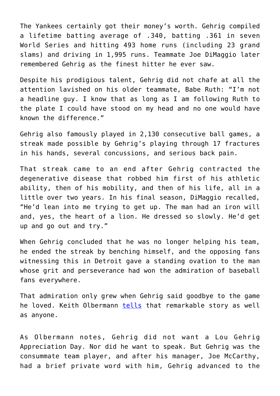The Yankees certainly got their money's worth. Gehrig compiled a lifetime batting average of .340, batting .361 in seven World Series and hitting 493 home runs (including 23 grand slams) and driving in 1,995 runs. Teammate Joe DiMaggio later remembered Gehrig as the finest hitter he ever saw.

Despite his prodigious talent, Gehrig did not chafe at all the attention lavished on his older teammate, Babe Ruth: "I'm not a headline guy. I know that as long as I am following Ruth to the plate I could have stood on my head and no one would have known the difference."

Gehrig also famously played in 2,130 consecutive ball games, a streak made possible by Gehrig's playing through 17 fractures in his hands, several concussions, and serious back pain.

That streak came to an end after Gehrig contracted the degenerative disease that robbed him first of his athletic ability, then of his mobility, and then of his life, all in a little over two years. In his final season, DiMaggio recalled, "He'd lean into me trying to get up. The man had an iron will and, yes, the heart of a lion. He dressed so slowly. He'd get up and go out and try."

When Gehrig concluded that he was no longer helping his team, he ended the streak by benching himself, and the opposing fans witnessing this in Detroit gave a standing ovation to the man whose grit and perseverance had won the admiration of baseball fans everywhere.

That admiration only grew when Gehrig said goodbye to the game he loved. Keith Olbermann **[tells](https://www.youtube.com/watch?v=4DWNOa6dJ6o)** that remarkable story as well as anyone.

As Olbermann notes, Gehrig did not want a Lou Gehrig Appreciation Day. Nor did he want to speak. But Gehrig was the consummate team player, and after his manager, Joe McCarthy, had a brief private word with him, Gehrig advanced to the